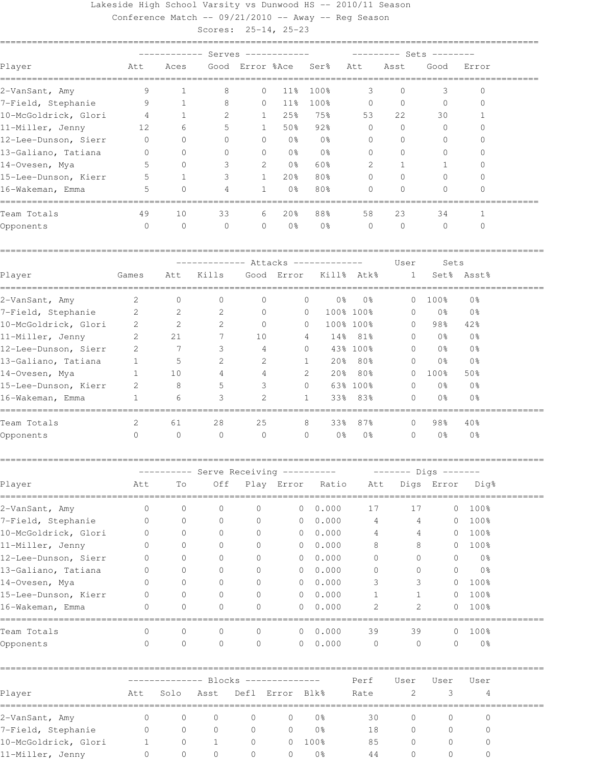Lakeside High School Varsity vs Dunwood HS -- 2010/11 Season Conference Match -- 09/21/2010 -- Away -- Reg Season

Scores: 25-14, 25-23

| Player               | Att            | Aces         |                                    |                |                 | Good Error %Ace Ser% | Att            | Asst         | Good           | Error          |  |  |  |
|----------------------|----------------|--------------|------------------------------------|----------------|-----------------|----------------------|----------------|--------------|----------------|----------------|--|--|--|
| 2-VanSant, Amy       | 9              | $\mathbf{1}$ | 8                                  | $\circ$        | 11%             | 100%                 | 3              | $\Omega$     | 3              | $\Omega$       |  |  |  |
| 7-Field, Stephanie   | 9              | 1            | 8                                  | $\circ$        | 11%             | 100%                 | $\overline{0}$ | $\Omega$     | $\mathbf{0}$   | $\bigcap$      |  |  |  |
| 10-McGoldrick, Glori | $\sim$ 4       | $\mathbf{1}$ | 2                                  | $\mathbf{1}$   | 25%             | 75%                  | 53             | 2.2.         | 30             |                |  |  |  |
| 11-Miller, Jenny     | 12             | 6            | 5                                  | $\mathbf{1}$   | 50%             | 92%                  | $\mathbf{0}$   | $\Omega$     | $\mathbf{0}$   | 0              |  |  |  |
| 12-Lee-Dunson, Sierr | 0              | $\Omega$     | $\Omega$                           | $\circ$        | 0 응             | 0 <sup>°</sup>       | $\Omega$       | $\Omega$     | $\Omega$       | $\bigcap$      |  |  |  |
| 13-Galiano, Tatiana  | 0              | $\circ$      | $\circ$                            | $\circ$        | 0 %             | 0%                   | $\circ$        | $\Omega$     | 0              | ∩              |  |  |  |
| 14-Ovesen, Mya       |                | $\Omega$     | 3                                  | 2              | 0 %             | 60%                  | 2              | $\mathbf{1}$ | 1.             |                |  |  |  |
| 15-Lee-Dunson, Kierr | 5              | $\mathbf{1}$ | 3                                  | $\mathbf{1}$   | 20 <sup>8</sup> | 80%                  | $\Omega$       | $\cap$       | $\Omega$       |                |  |  |  |
| 16-Wakeman, Emma     | 5              | $\Omega$     | 4                                  | $\mathbf{1}$   | 0 <sup>8</sup>  | 80%                  | <sup>n</sup>   | $\cap$       | $\Omega$       | ∩              |  |  |  |
| Team Totals          | 49             | 10           | 33                                 | 6              | 20%             | 88%                  | 58             | 23           | 34             | 1              |  |  |  |
| Opponents            | $\Omega$       | $\Omega$     | $\Omega$                           | $\Omega$       | 0 <sup>°</sup>  | 0 <sup>8</sup>       | $\Omega$       | $\Omega$     | $\Omega$       | $\bigcap$      |  |  |  |
|                      |                |              | ------------ Attacks ------------- |                |                 |                      |                | User         | Sets           |                |  |  |  |
| Player               | Games          | Att          | Kills                              |                | Good Error      |                      | Kill% Atk%     | 1            |                | Set% Asst%     |  |  |  |
| 2-VanSant, Amy       | 2              | $\mathbf{0}$ | $\mathbf{0}$                       | $\circ$        |                 | $\circ$<br>0 %       | 0 <sup>°</sup> | $\Omega$     | 100%           | 0%             |  |  |  |
| 7-Field, Stephanie 2 |                | -2           | 2                                  | $\overline{0}$ |                 | $\Omega$             | 100% 100%      | $\Omega$     | 0 %            | 0%             |  |  |  |
| 10-McGoldrick, Glori | $\overline{2}$ | 2            | 2.                                 | $\Omega$       |                 | $\Omega$             | 100% 100%      | $\Omega$     | 98%            | 42%            |  |  |  |
| 11-Miller, Jenny     | 2              | 21           | 7                                  | 10             |                 | $\overline{4}$       | 14% 81%        | $\Omega$     | 0 <sup>°</sup> | 0 <sup>°</sup> |  |  |  |

| 12-Lee-Dunson, Sierr |   |    |              | 4  | 0       |                 | 43% 100%       | 0 <sub>8</sub> | 0%     |  |
|----------------------|---|----|--------------|----|---------|-----------------|----------------|----------------|--------|--|
| 13-Galiano, Tatiana  |   | 5  | 2            | 2  |         | 20%             | 80%            | 0%             | 0 %    |  |
| 14-Ovesen, Mya       |   | 10 | 4            | 4  | 2       | 20 <sup>8</sup> | 80%            | 100%           | 50%    |  |
| 15-Lee-Dunson, Kierr | 2 | 8  | 5            | 3  | $\circ$ |                 | 63% 100%       | 0%             | 0 %    |  |
| 16-Wakeman, Emma     |   | 6  | 3            | 2  |         | 33%             | 83%            | 0 <sub>3</sub> | 0 %    |  |
| Team Totals          | 2 | 61 | 28           | 25 | 8       | 33%             | 87%            | 98%            | $40\%$ |  |
| Opponents            | 0 | 0  | $\mathbf{0}$ | 0  | $\circ$ | 0 %             | 0 <sub>8</sub> | 0 <sub>8</sub> | 0%     |  |
|                      |   |    |              |    |         |                 |                |                |        |  |

======================================================================================================

|                      |          |          |              |              | ---------- Serve Receiving ---------- |       |              | ------- Digs ------- |            |                |  |  |  |  |  |
|----------------------|----------|----------|--------------|--------------|---------------------------------------|-------|--------------|----------------------|------------|----------------|--|--|--|--|--|
| Player               | Att      | Τo       | Off          |              | Play Error                            | Ratio | Att          |                      | Digs Error | Dig%           |  |  |  |  |  |
| 2-VanSant, Amy       | $\Omega$ | 0        | $\circ$      | $\mathbf{0}$ | $\mathbf{0}$                          | 0.000 | 17           | 17                   | $\circ$    | 100%           |  |  |  |  |  |
| 7-Field, Stephanie   | $\Omega$ | 0        | 0            | 0            | $\mathbf{0}$                          | 0.000 | 4            | 4                    | 0          | 100%           |  |  |  |  |  |
| 10-McGoldrick, Glori | 0        | 0        | $\mathbf{0}$ | $\Omega$     | $\mathbf{0}$                          | 0.000 | 4            | 4                    | 0          | 100%           |  |  |  |  |  |
| 11-Miller, Jenny     | $\Omega$ | 0        | 0            | $\Omega$     | $\mathbf{0}$                          | 0.000 | 8            | 8                    | 0          | 100%           |  |  |  |  |  |
| 12-Lee-Dunson, Sierr |          | 0        | $\Omega$     | $\Omega$     | $\mathbf{0}$                          | 0.000 | $\mathbf{0}$ | $\Omega$             | 0          | 0 <sup>°</sup> |  |  |  |  |  |
| 13-Galiano, Tatiana  |          | 0        | 0            | $\Omega$     | $\mathbf{0}$                          | 0.000 | $\mathbf{0}$ | 0                    | $\circ$    | 0 <sup>°</sup> |  |  |  |  |  |
| 14-Ovesen, Mya       |          | 0        | $\Omega$     | $\Omega$     | $\mathbf{0}$                          | 0.000 | 3            | 3                    | $\circ$    | 100%           |  |  |  |  |  |
| 15-Lee-Dunson, Kierr |          | 0        | $\Omega$     | $\Omega$     | $\mathbf{0}$                          | 0.000 |              | 1                    | 0          | 100%           |  |  |  |  |  |
| 16-Wakeman, Emma     | 0        | 0        | $\circ$      | $\mathbf{0}$ | $\mathbf{0}$                          | 0.000 | 2            | 2                    | 0          | 100%           |  |  |  |  |  |
| Team Totals          | $\Omega$ | 0        | $\circ$      | $\Omega$     | $\circ$                               | 0.000 | 39           | 39                   | $\bigcirc$ | 100%           |  |  |  |  |  |
| Opponents            |          | $\Omega$ | $\circ$      | $\Omega$     | $\Omega$                              | 0.000 | $\Omega$     | $\Omega$             | $\Omega$   | 0 <sup>°</sup> |  |  |  |  |  |
|                      |          |          |              |              | -------------- Blocks --------------  |       | Perf         | User                 | User       | User           |  |  |  |  |  |
| DJ 222222            |          |          |              |              | The Cale Test Defl Process Dlle       |       | $D - L -$    | $\sim$               | $\bigcap$  | $\overline{a}$ |  |  |  |  |  |

| Player               | Att      | Solo     | Asst                   |                  | Defl Error Blk% |            | Rate |                  | -2               | 4 |  |
|----------------------|----------|----------|------------------------|------------------|-----------------|------------|------|------------------|------------------|---|--|
| 2-VanSant, Amy       |          |          | $\bigcirc$<br>$\sim$ 0 | $\Omega$         | $\cup$          | 0%         | 30   | $\left( \right)$ |                  |   |  |
| 7-Field, Stephanie   | $\Omega$ | $\Omega$ | $\Omega$               | $\Omega$         |                 | 0응         | 18   | $\left( \right)$ |                  |   |  |
| 10-McGoldrick, Glori |          | $\circ$  |                        | $\Omega$         |                 | $0, 100\%$ | 85   | $\left( \right)$ | $\left( \right)$ |   |  |
| 11-Miller, Jenny     |          | ()       | - 0                    | $\left( \right)$ | (1              | - 0 %      | 44   |                  |                  |   |  |
|                      |          |          |                        |                  |                 |            |      |                  |                  |   |  |